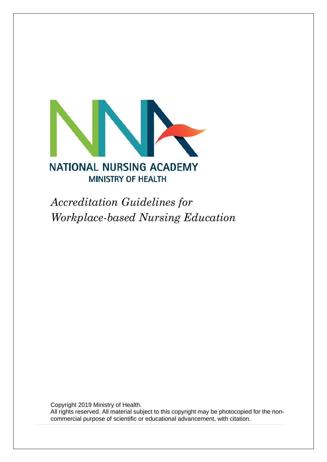

*Accreditation Guidelines for Workplace-based Nursing Education*

Copyright 2019 Ministry of Health. All rights reserved. All material subject to this copyright may be photocopied for the noncommercial purpose of scientific or educational advancement, with citation.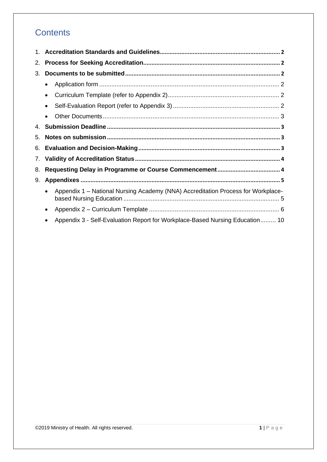# **Contents**

| 2. |                                                                                               |
|----|-----------------------------------------------------------------------------------------------|
| 3. |                                                                                               |
|    | $\bullet$                                                                                     |
|    | ٠                                                                                             |
|    | $\bullet$                                                                                     |
|    | $\bullet$                                                                                     |
| 4. |                                                                                               |
| 5. |                                                                                               |
| 6. |                                                                                               |
| 7. |                                                                                               |
| 8. |                                                                                               |
| 9. |                                                                                               |
|    | Appendix 1 – National Nursing Academy (NNA) Accreditation Process for Workplace-<br>$\bullet$ |
|    | ٠                                                                                             |
|    | Appendix 3 - Self-Evaluation Report for Workplace-Based Nursing Education 10<br>$\bullet$     |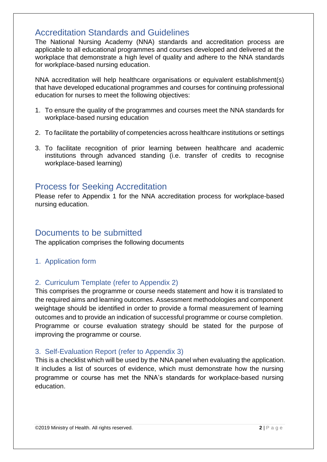## <span id="page-2-0"></span>Accreditation Standards and Guidelines

The National Nursing Academy (NNA) standards and accreditation process are applicable to all educational programmes and courses developed and delivered at the workplace that demonstrate a high level of quality and adhere to the NNA standards for workplace-based nursing education.

NNA accreditation will help healthcare organisations or equivalent establishment(s) that have developed educational programmes and courses for continuing professional education for nurses to meet the following objectives:

- 1. To ensure the quality of the programmes and courses meet the NNA standards for workplace-based nursing education
- 2. To facilitate the portability of competencies across healthcare institutions or settings
- 3. To facilitate recognition of prior learning between healthcare and academic institutions through advanced standing (i.e. transfer of credits to recognise workplace-based learning)

## <span id="page-2-1"></span>Process for Seeking Accreditation

Please refer to Appendix 1 for the NNA accreditation process for workplace-based nursing education.

## <span id="page-2-2"></span>Documents to be submitted

The application comprises the following documents

## <span id="page-2-3"></span>1. Application form

## <span id="page-2-4"></span>2. Curriculum Template (refer to Appendix 2)

This comprises the programme or course needs statement and how it is translated to the required aims and learning outcomes. Assessment methodologies and component weightage should be identified in order to provide a formal measurement of learning outcomes and to provide an indication of successful programme or course completion. Programme or course evaluation strategy should be stated for the purpose of improving the programme or course.

## <span id="page-2-5"></span>3. Self-Evaluation Report (refer to Appendix 3)

This is a checklist which will be used by the NNA panel when evaluating the application. It includes a list of sources of evidence, which must demonstrate how the nursing programme or course has met the NNA's standards for workplace-based nursing education.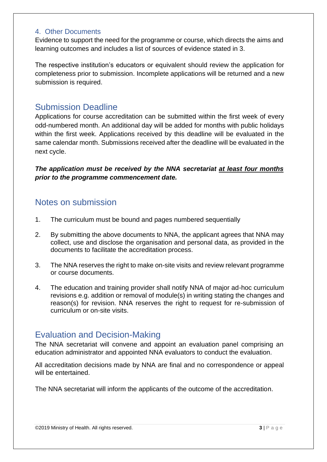### <span id="page-3-0"></span>4. Other Documents

Evidence to support the need for the programme or course, which directs the aims and learning outcomes and includes a list of sources of evidence stated in 3.

The respective institution's educators or equivalent should review the application for completeness prior to submission. Incomplete applications will be returned and a new submission is required.

# <span id="page-3-1"></span>Submission Deadline

Applications for course accreditation can be submitted within the first week of every odd-numbered month. An additional day will be added for months with public holidays within the first week. Applications received by this deadline will be evaluated in the same calendar month. Submissions received after the deadline will be evaluated in the next cycle.

## *The application must be received by the NNA secretariat at least four months prior to the programme commencement date.*

## <span id="page-3-2"></span>Notes on submission

- 1. The curriculum must be bound and pages numbered sequentially
- 2. By submitting the above documents to NNA, the applicant agrees that NNA may collect, use and disclose the organisation and personal data, as provided in the documents to facilitate the accreditation process.
- 3. The NNA reserves the right to make on-site visits and review relevant programme or course documents.
- 4. The education and training provider shall notify NNA of major ad-hoc curriculum revisions e.g. addition or removal of module(s) in writing stating the changes and reason(s) for revision. NNA reserves the right to request for re-submission of curriculum or on-site visits.

# <span id="page-3-3"></span>Evaluation and Decision-Making

The NNA secretariat will convene and appoint an evaluation panel comprising an education administrator and appointed NNA evaluators to conduct the evaluation.

All accreditation decisions made by NNA are final and no correspondence or appeal will be entertained.

The NNA secretariat will inform the applicants of the outcome of the accreditation.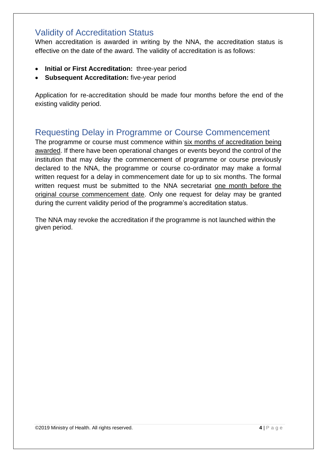# <span id="page-4-0"></span>Validity of Accreditation Status

When accreditation is awarded in writing by the NNA, the accreditation status is effective on the date of the award. The validity of accreditation is as follows:

- **Initial or First Accreditation:** three-year period
- **Subsequent Accreditation:** five-year period

Application for re-accreditation should be made four months before the end of the existing validity period.

# <span id="page-4-1"></span>Requesting Delay in Programme or Course Commencement

The programme or course must commence within six months of accreditation being awarded. If there have been operational changes or events beyond the control of the institution that may delay the commencement of programme or course previously declared to the NNA, the programme or course co-ordinator may make a formal written request for a delay in commencement date for up to six months. The formal written request must be submitted to the NNA secretariat one month before the original course commencement date. Only one request for delay may be granted during the current validity period of the programme's accreditation status.

The NNA may revoke the accreditation if the programme is not launched within the given period.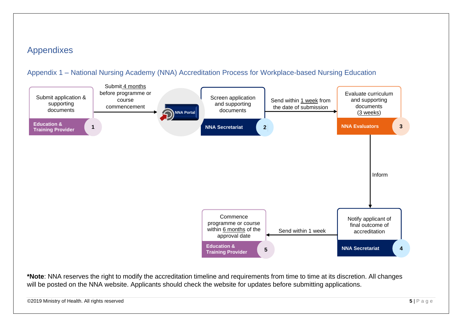# Appendixes

## Appendix 1 – National Nursing Academy (NNA) Accreditation Process for Workplace-based Nursing Education



<span id="page-5-1"></span><span id="page-5-0"></span>**\*Note**: NNA reserves the right to modify the accreditation timeline and requirements from time to time at its discretion. All changes will be posted on the NNA website. Applicants should check the website for updates before submitting applications.

©2019 Ministry of Health. All rights reserved **5** | P a g e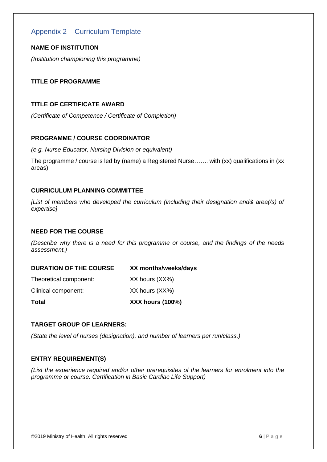## <span id="page-6-0"></span>Appendix 2 – Curriculum Template

#### **NAME OF INSTITUTION**

*(Institution championing this programme)*

#### **TITLE OF PROGRAMME**

#### **TITLE OF CERTIFICATE AWARD**

*(Certificate of Competence / Certificate of Completion)*

#### **PROGRAMME / COURSE COORDINATOR**

*(e.g. Nurse Educator, Nursing Division or equivalent)* 

The programme / course is led by (name) a Registered Nurse……. with (xx) qualifications in (xx areas)

#### **CURRICULUM PLANNING COMMITTEE**

*[List of members who developed the curriculum (including their designation and& area(/s) of expertise]*

#### **NEED FOR THE COURSE**

*(Describe why there is a need for this programme or course, and the findings of the needs assessment.)*

| <b>DURATION OF THE COURSE</b> | XX months/weeks/days    |
|-------------------------------|-------------------------|
| Theoretical component:        | XX hours (XX%)          |
| Clinical component:           | XX hours (XX%)          |
| Total                         | <b>XXX hours (100%)</b> |

#### **TARGET GROUP OF LEARNERS:**

*(State the level of nurses (designation), and number of learners per run/class.)*

#### **ENTRY REQUIREMENT(S)**

*(List the experience required and/or other prerequisites of the learners for enrolment into the programme or course. Certification in Basic Cardiac Life Support)*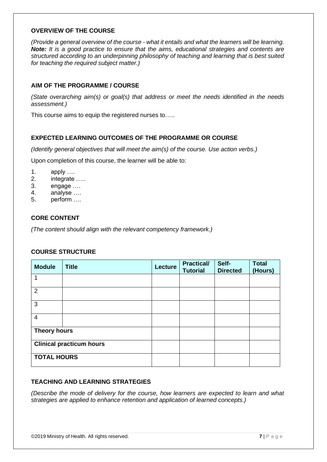#### **OVERVIEW OF THE COURSE**

*(Provide a general overview of the course - what it entails and what the learners will be learning. Note: It is a good practice to ensure that the aims, educational strategies and contents are structured according to an underpinning philosophy of teaching and learning that is best suited for teaching the required subject matter.)*

#### **AIM OF THE PROGRAMME / COURSE**

*(State overarching aim(s) or goal(s) that address or meet the needs identified in the needs assessment.)*

This course aims to equip the registered nurses to…..

#### **EXPECTED LEARNING OUTCOMES OF THE PROGRAMME OR COURSE**

*(Identify general objectives that will meet the aim(s) of the course. Use action verbs.)* 

Upon completion of this course, the learner will be able to:

- 1. apply ….
- 2. integrate …..
- 3. engage ….
- 4. analyse ….
- 5. perform ….

### **CORE CONTENT**

*(The content should align with the relevant competency framework.)*

#### **COURSE STRUCTURE**

| <b>Module</b>                   | <b>Title</b> | Lecture | <b>Practical/</b><br><b>Tutorial</b> | Self-<br><b>Directed</b> | <b>Total</b><br>(Hours) |
|---------------------------------|--------------|---------|--------------------------------------|--------------------------|-------------------------|
| 1                               |              |         |                                      |                          |                         |
| 2                               |              |         |                                      |                          |                         |
| 3                               |              |         |                                      |                          |                         |
| $\overline{4}$                  |              |         |                                      |                          |                         |
| <b>Theory hours</b>             |              |         |                                      |                          |                         |
| <b>Clinical practicum hours</b> |              |         |                                      |                          |                         |
| <b>TOTAL HOURS</b>              |              |         |                                      |                          |                         |

#### **TEACHING AND LEARNING STRATEGIES**

*(Describe the mode of delivery for the course, how learners are expected to learn and what strategies are applied to enhance retention and application of learned concepts.)*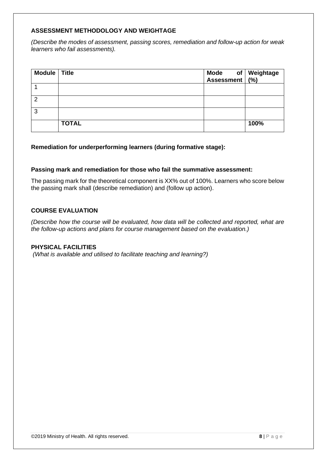### **ASSESSMENT METHODOLOGY AND WEIGHTAGE**

*(Describe the modes of assessment, passing scores, remediation and follow-up action for weak learners who fail assessments).* 

| Module | <b>Title</b> | Mode of Weightage<br>Assessment (%) |      |
|--------|--------------|-------------------------------------|------|
|        |              |                                     |      |
| ?      |              |                                     |      |
| 3      |              |                                     |      |
|        | <b>TOTAL</b> |                                     | 100% |

#### **Remediation for underperforming learners (during formative stage):**

#### **Passing mark and remediation for those who fail the summative assessment:**

The passing mark for the theoretical component is XX% out of 100%. Learners who score below the passing mark shall (describe remediation) and (follow up action).

#### **COURSE EVALUATION**

*(Describe how the course will be evaluated, how data will be collected and reported, what are the follow-up actions and plans for course management based on the evaluation.)*

#### **PHYSICAL FACILITIES**

*(What is available and utilised to facilitate teaching and learning?)*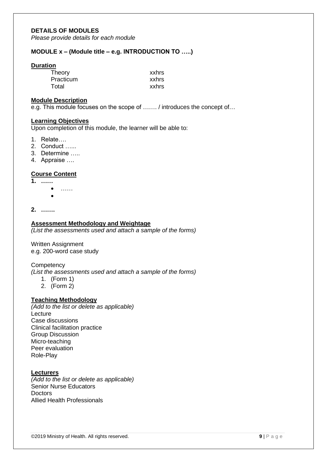#### **DETAILS OF MODULES**

*Please provide details for each module*

#### **MODULE x – (Module title – e.g. INTRODUCTION TO …..)**

#### **Duration**

| Theory    | xxhrs |
|-----------|-------|
| Practicum | xxhrs |
| Total     | xxhrs |

#### **Module Description**

e.g. This module focuses on the scope of ……. / introduces the concept of…

#### **Learning Objectives**

Upon completion of this module, the learner will be able to:

- 1. Relate….
- 2. Conduct …...
- 3. Determine …..
- 4. Appraise ….

#### **Course Content**

- **1. ……** 
	- $\bullet$  ……
	- •
- **2. …….**

#### **Assessment Methodology and Weightage**

*(List the assessments used and attach a sample of the forms)*

Written Assignment e.g. 200-word case study

#### **Competency**

*(List the assessments used and attach a sample of the forms)*

- 1. (Form 1)
- 2. (Form 2)

#### **Teaching Methodology**

*(Add to the list or delete as applicable)* Lecture Case discussions Clinical facilitation practice Group Discussion Micro-teaching Peer evaluation Role-Play

#### **Lecturers**

*(Add to the list or delete as applicable)* Senior Nurse Educators **Doctors** Allied Health Professionals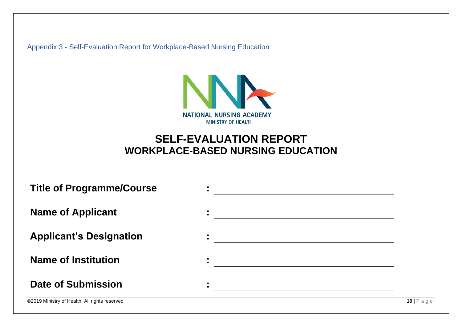Appendix 3 - Self-Evaluation Report for Workplace-Based Nursing Education



# **SELF-EVALUATION REPORT WORKPLACE-BASED NURSING EDUCATION**

<span id="page-10-0"></span>

| <b>Title of Programme/Course</b>              |   |                |
|-----------------------------------------------|---|----------------|
| <b>Name of Applicant</b>                      | ٠ |                |
| <b>Applicant's Designation</b>                |   |                |
| <b>Name of Institution</b>                    |   |                |
| <b>Date of Submission</b>                     |   |                |
| ©2019 Ministry of Health. All rights reserved |   | $10   P$ a g e |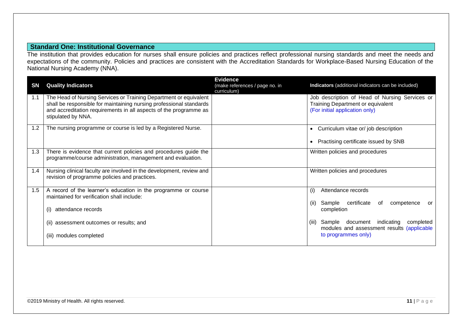#### **Standard One: Institutional Governance**

The institution that provides education for nurses shall ensure policies and practices reflect professional nursing standards and meet the needs and expectations of the community. Policies and practices are consistent with the Accreditation Standards for Workplace-Based Nursing Education of the National Nursing Academy (NNA).

| <b>SN</b> | <b>Quality Indicators</b>                                                                                                                                                                                                           | <b>Evidence</b><br>(make references / page no. in<br>curriculum) | Indicators (additional indicators can be included)                                                                    |
|-----------|-------------------------------------------------------------------------------------------------------------------------------------------------------------------------------------------------------------------------------------|------------------------------------------------------------------|-----------------------------------------------------------------------------------------------------------------------|
| 1.1       | The Head of Nursing Services or Training Department or equivalent<br>shall be responsible for maintaining nursing professional standards<br>and accreditation requirements in all aspects of the programme as<br>stipulated by NNA. |                                                                  | Job description of Head of Nursing Services or<br>Training Department or equivalent<br>(For initial application only) |
| 1.2       | The nursing programme or course is led by a Registered Nurse.                                                                                                                                                                       |                                                                  | • Curriculum vitae or/ job description<br>Practising certificate issued by SNB                                        |
| 1.3       | There is evidence that current policies and procedures guide the<br>programme/course administration, management and evaluation.                                                                                                     |                                                                  | Written policies and procedures                                                                                       |
| 1.4       | Nursing clinical faculty are involved in the development, review and<br>revision of programme policies and practices.                                                                                                               |                                                                  | Written policies and procedures                                                                                       |
| 1.5       | A record of the learner's education in the programme or course<br>maintained for verification shall include:<br>attendance records<br>$\mathbf{I}$                                                                                  |                                                                  | (i)<br>Attendance records<br>certificate<br>Sample<br>competence<br>of<br>(ii)<br>or<br>completion                    |
|           | (ii) assessment outcomes or results; and<br>(iii) modules completed                                                                                                                                                                 |                                                                  | Sample document indicating<br>completed<br>(iii)<br>modules and assessment results (applicable<br>to programmes only) |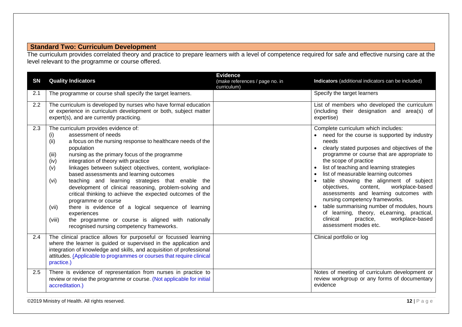### **Standard Two: Curriculum Development**

The curriculum provides correlated theory and practice to prepare learners with a level of competence required for safe and effective nursing care at the level relevant to the programme or course offered.

| <b>SN</b>        | <b>Quality Indicators</b>                                                                                                                                                                                                                                                                                                                                                                                                                                                                                                                                                                                                                                                                                                                                                           | <b>Evidence</b><br>(make references / page no. in<br>curriculum) | Indicators (additional indicators can be included)                                                                                                                                                                                                                                                                                                                                                                                                                                                                                                                                                                                             |
|------------------|-------------------------------------------------------------------------------------------------------------------------------------------------------------------------------------------------------------------------------------------------------------------------------------------------------------------------------------------------------------------------------------------------------------------------------------------------------------------------------------------------------------------------------------------------------------------------------------------------------------------------------------------------------------------------------------------------------------------------------------------------------------------------------------|------------------------------------------------------------------|------------------------------------------------------------------------------------------------------------------------------------------------------------------------------------------------------------------------------------------------------------------------------------------------------------------------------------------------------------------------------------------------------------------------------------------------------------------------------------------------------------------------------------------------------------------------------------------------------------------------------------------------|
| 2.1              | The programme or course shall specify the target learners.                                                                                                                                                                                                                                                                                                                                                                                                                                                                                                                                                                                                                                                                                                                          |                                                                  | Specify the target learners                                                                                                                                                                                                                                                                                                                                                                                                                                                                                                                                                                                                                    |
| $2.2\phantom{0}$ | The curriculum is developed by nurses who have formal education<br>or experience in curriculum development or both, subject matter<br>expert(s), and are currently practicing.                                                                                                                                                                                                                                                                                                                                                                                                                                                                                                                                                                                                      |                                                                  | List of members who developed the curriculum<br>(including their designation and area(s) of<br>expertise)                                                                                                                                                                                                                                                                                                                                                                                                                                                                                                                                      |
| 2.3              | The curriculum provides evidence of:<br>assessment of needs<br>(i)<br>a focus on the nursing response to healthcare needs of the<br>(ii)<br>population<br>(iii)<br>nursing as the primary focus of the programme<br>integration of theory with practice<br>(iv)<br>linkages between subject objectives, content, workplace-<br>(v)<br>based assessments and learning outcomes<br>teaching and learning strategies that enable the<br>(vi)<br>development of clinical reasoning, problem-solving and<br>critical thinking to achieve the expected outcomes of the<br>programme or course<br>there is evidence of a logical sequence of learning<br>(vii)<br>experiences<br>the programme or course is aligned with nationally<br>(viii)<br>recognised nursing competency frameworks. |                                                                  | Complete curriculum which includes:<br>need for the course is supported by industry<br>needs<br>clearly stated purposes and objectives of the<br>programme or course that are appropriate to<br>the scope of practice<br>list of teaching and learning strategies<br>list of measurable learning outcomes<br>table showing the alignment of subject<br>workplace-based<br>objectives,<br>content,<br>assessments and learning outcomes with<br>nursing competency frameworks.<br>table summarising number of modules, hours<br>of learning, theory, eLearning, practical,<br>clinical<br>practice,<br>workplace-based<br>assessment modes etc. |
| 2.4              | The clinical practice allows for purposeful or focussed learning<br>where the learner is guided or supervised in the application and<br>integration of knowledge and skills, and acquisition of professional<br>attitudes. (Applicable to programmes or courses that require clinical<br>practice.)                                                                                                                                                                                                                                                                                                                                                                                                                                                                                 |                                                                  | Clinical portfolio or log                                                                                                                                                                                                                                                                                                                                                                                                                                                                                                                                                                                                                      |
| 2.5              | There is evidence of representation from nurses in practice to<br>review or revise the programme or course. (Not applicable for initial<br>accreditation.)                                                                                                                                                                                                                                                                                                                                                                                                                                                                                                                                                                                                                          |                                                                  | Notes of meeting of curriculum development or<br>review workgroup or any forms of documentary<br>evidence                                                                                                                                                                                                                                                                                                                                                                                                                                                                                                                                      |

©2019 Ministry of Health. All rights reserved. **12** | P a g e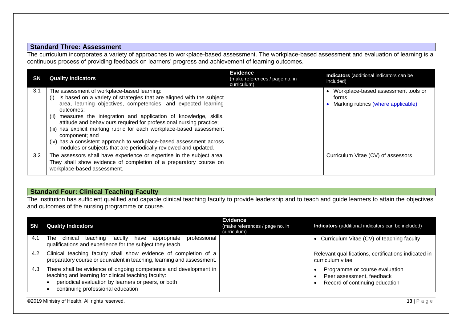#### **Standard Three: Assessment**

The curriculum incorporates a variety of approaches to workplace-based assessment. The workplace-based assessment and evaluation of learning is a continuous process of providing feedback on learners' progress and achievement of learning outcomes.

| <b>SN</b> | <b>Quality Indicators</b>                                                                                                                     | <b>Evidence</b><br>(make references / page no. in<br>curriculum) | Indicators (additional indicators can be<br>included) |
|-----------|-----------------------------------------------------------------------------------------------------------------------------------------------|------------------------------------------------------------------|-------------------------------------------------------|
| 3.1       | The assessment of workplace-based learning:                                                                                                   |                                                                  | Workplace-based assessment tools or                   |
|           | is based on a variety of strategies that are aligned with the subject<br>(i)                                                                  |                                                                  | forms                                                 |
|           | area, learning objectives, competencies, and expected learning<br>outcomes:                                                                   |                                                                  | Marking rubrics (where applicable)                    |
|           | measures the integration and application of knowledge, skills,<br>(ii)<br>attitude and behaviours required for professional nursing practice; |                                                                  |                                                       |
|           | (iii) has explicit marking rubric for each workplace-based assessment<br>component; and                                                       |                                                                  |                                                       |
|           | (iv) has a consistent approach to workplace-based assessment across<br>modules or subjects that are periodically reviewed and updated.        |                                                                  |                                                       |
| 3.2       | The assessors shall have experience or expertise in the subject area.<br>They shall show evidence of completion of a preparatory course on    |                                                                  | Curriculum Vitae (CV) of assessors                    |
|           | workplace-based assessment.                                                                                                                   |                                                                  |                                                       |

#### **Standard Four: Clinical Teaching Faculty**

The institution has sufficient qualified and capable clinical teaching faculty to provide leadership and to teach and guide learners to attain the objectives and outcomes of the nursing programme or course.

| <b>SN</b> | <b>Quality Indicators</b>                                                                                                                                                                                            | Evidence<br>(make references / page no. in<br>curriculum) | Indicators (additional indicators can be included)                                            |
|-----------|----------------------------------------------------------------------------------------------------------------------------------------------------------------------------------------------------------------------|-----------------------------------------------------------|-----------------------------------------------------------------------------------------------|
| 4.1       | clinical teaching faculty have<br>appropriate<br>The<br>professional<br>qualifications and experience for the subject they teach.                                                                                    |                                                           | • Curriculum Vitae (CV) of teaching faculty                                                   |
| 4.2       | Clinical teaching faculty shall show evidence of completion of a<br>preparatory course or equivalent in teaching, learning and assessment.                                                                           |                                                           | Relevant qualifications, certifications indicated in<br>curriculum vitae                      |
| 4.3       | There shall be evidence of ongoing competence and development in<br>teaching and learning for clinical teaching faculty:<br>periodical evaluation by learners or peers, or both<br>continuing professional education |                                                           | Programme or course evaluation<br>Peer assessment, feedback<br>Record of continuing education |